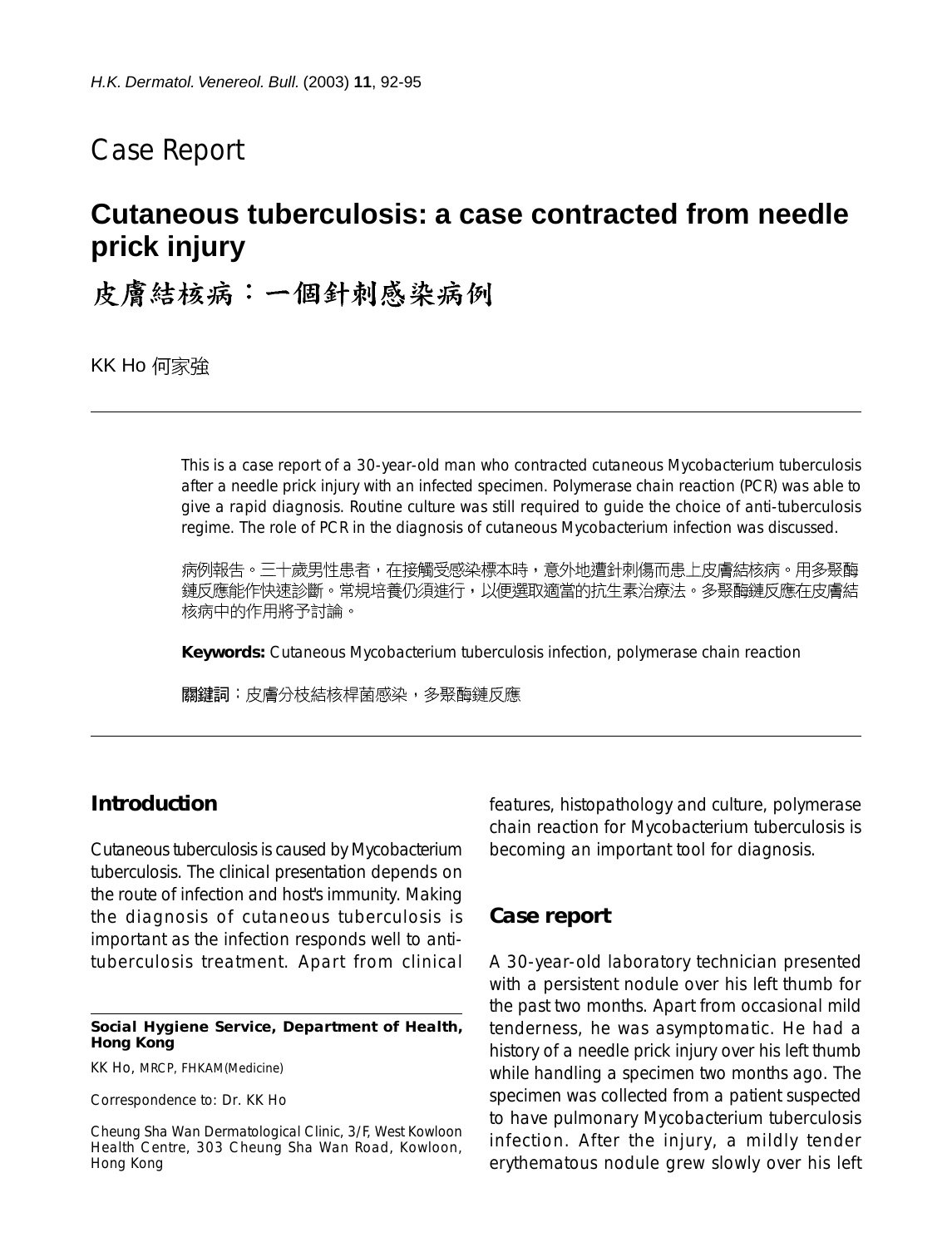## Case Report

# **Cutaneous tuberculosis: a case contracted from needle prick injury**

皮膚結核病:一個針刺感染病例

KK Ho 何家強

This is a case report of a 30-year-old man who contracted cutaneous Mycobacterium tuberculosis after a needle prick injury with an infected specimen. Polymerase chain reaction (PCR) was able to give a rapid diagnosis. Routine culture was still required to guide the choice of anti-tuberculosis regime. The role of PCR in the diagnosis of cutaneous Mycobacterium infection was discussed.

病例報告。三十歲男性患者,在接觸受感染標本時,意外地遭針刺傷而患上皮膚結核病。用多聚酶 鏈反應能作快速診斷。常規培養仍須進行,以便選取適當的抗生素治療法。多聚酶鏈反應在皮膚結 核病中的作用將予討論。

**Keywords:** Cutaneous Mycobacterium tuberculosis infection, polymerase chain reaction

關鍵詞:皮膚分枝結核桿菌感染,多聚酶鏈反應

## **Introduction**

Cutaneous tuberculosis is caused by Mycobacterium tuberculosis. The clinical presentation depends on the route of infection and host's immunity. Making the diagnosis of cutaneous tuberculosis is important as the infection responds well to antituberculosis treatment. Apart from clinical

#### **Social Hygiene Service, Department of Health, Hong Kong**

KK Ho, MRCP, FHKAM(Medicine)

Correspondence to: Dr. KK Ho

Cheung Sha Wan Dermatological Clinic, 3/F, West Kowloon Health Centre, 303 Cheung Sha Wan Road, Kowloon, Hong Kong

features, histopathology and culture, polymerase chain reaction for Mycobacterium tuberculosis is becoming an important tool for diagnosis.

## **Case report**

A 30-year-old laboratory technician presented with a persistent nodule over his left thumb for the past two months. Apart from occasional mild tenderness, he was asymptomatic. He had a history of a needle prick injury over his left thumb while handling a specimen two months ago. The specimen was collected from a patient suspected to have pulmonary Mycobacterium tuberculosis infection. After the injury, a mildly tender erythematous nodule grew slowly over his left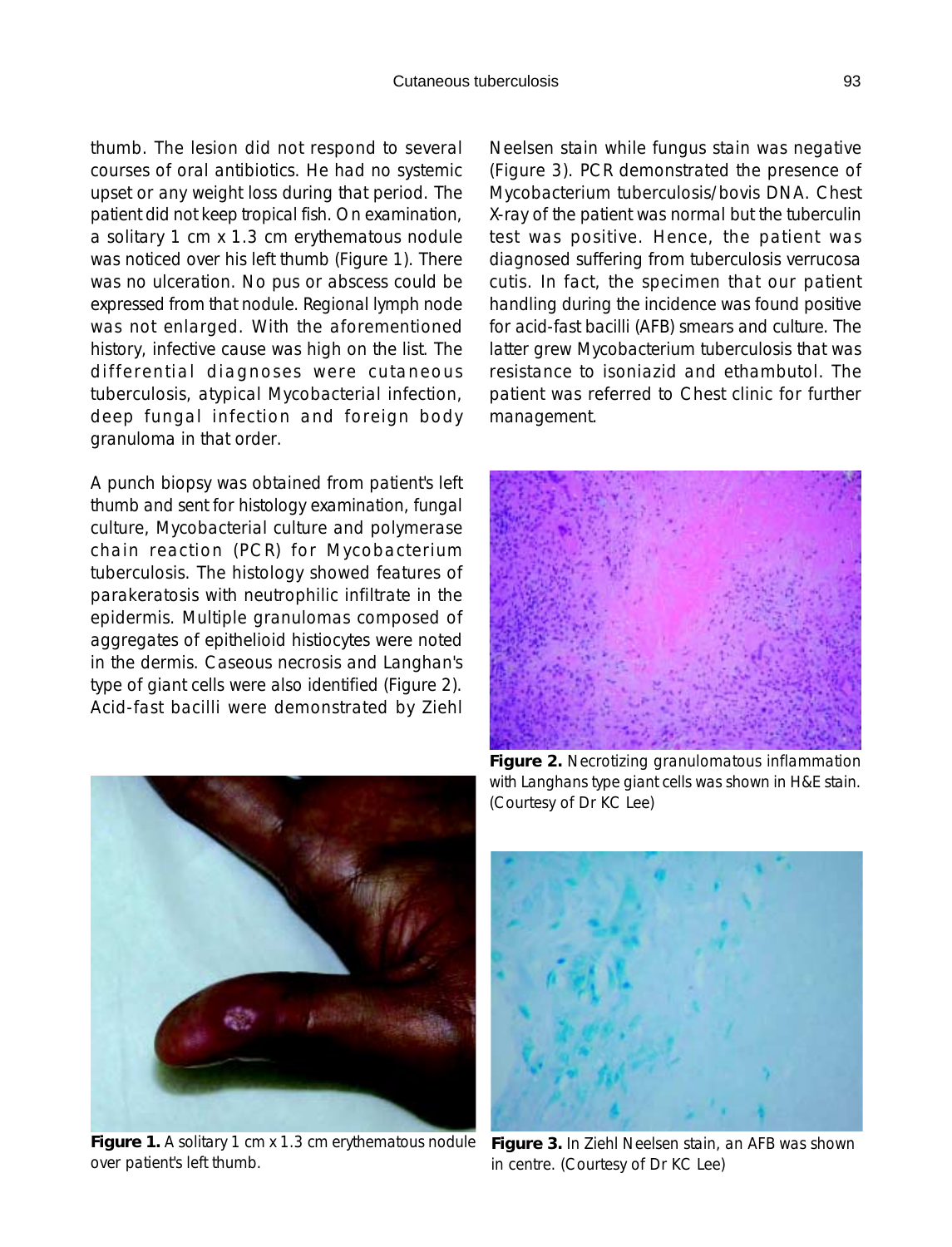thumb. The lesion did not respond to several courses of oral antibiotics. He had no systemic upset or any weight loss during that period. The patient did not keep tropical fish. On examination, a solitary 1 cm x 1.3 cm erythematous nodule was noticed over his left thumb (Figure 1). There was no ulceration. No pus or abscess could be expressed from that nodule. Regional lymph node was not enlarged. With the aforementioned history, infective cause was high on the list. The differential diagnoses were cutaneous tuberculosis, atypical Mycobacterial infection, deep fungal infection and foreign body granuloma in that order.

A punch biopsy was obtained from patient's left thumb and sent for histology examination, fungal culture, Mycobacterial culture and polymerase chain reaction (PCR) for Mycobacterium tuberculosis. The histology showed features of parakeratosis with neutrophilic infiltrate in the epidermis. Multiple granulomas composed of aggregates of epithelioid histiocytes were noted in the dermis. Caseous necrosis and Langhan's type of giant cells were also identified (Figure 2). Acid-fast bacilli were demonstrated by Ziehl

Neelsen stain while fungus stain was negative (Figure 3). PCR demonstrated the presence of Mycobacterium tuberculosis/bovis DNA. Chest X-ray of the patient was normal but the tuberculin test was positive. Hence, the patient was diagnosed suffering from tuberculosis verrucosa cutis. In fact, the specimen that our patient handling during the incidence was found positive for acid-fast bacilli (AFB) smears and culture. The latter grew Mycobacterium tuberculosis that was resistance to isoniazid and ethambutol. The patient was referred to Chest clinic for further management.



**Figure 2.** Necrotizing granulomatous inflammation with Langhans type giant cells was shown in H&E stain. (Courtesy of Dr KC Lee)



**Figure 1.** A solitary 1 cm x 1.3 cm erythematous nodule **Figure 3.** In Ziehl Neelsen stain, an AFB was shown over patient's left thumb.



in centre. (Courtesy of Dr KC Lee)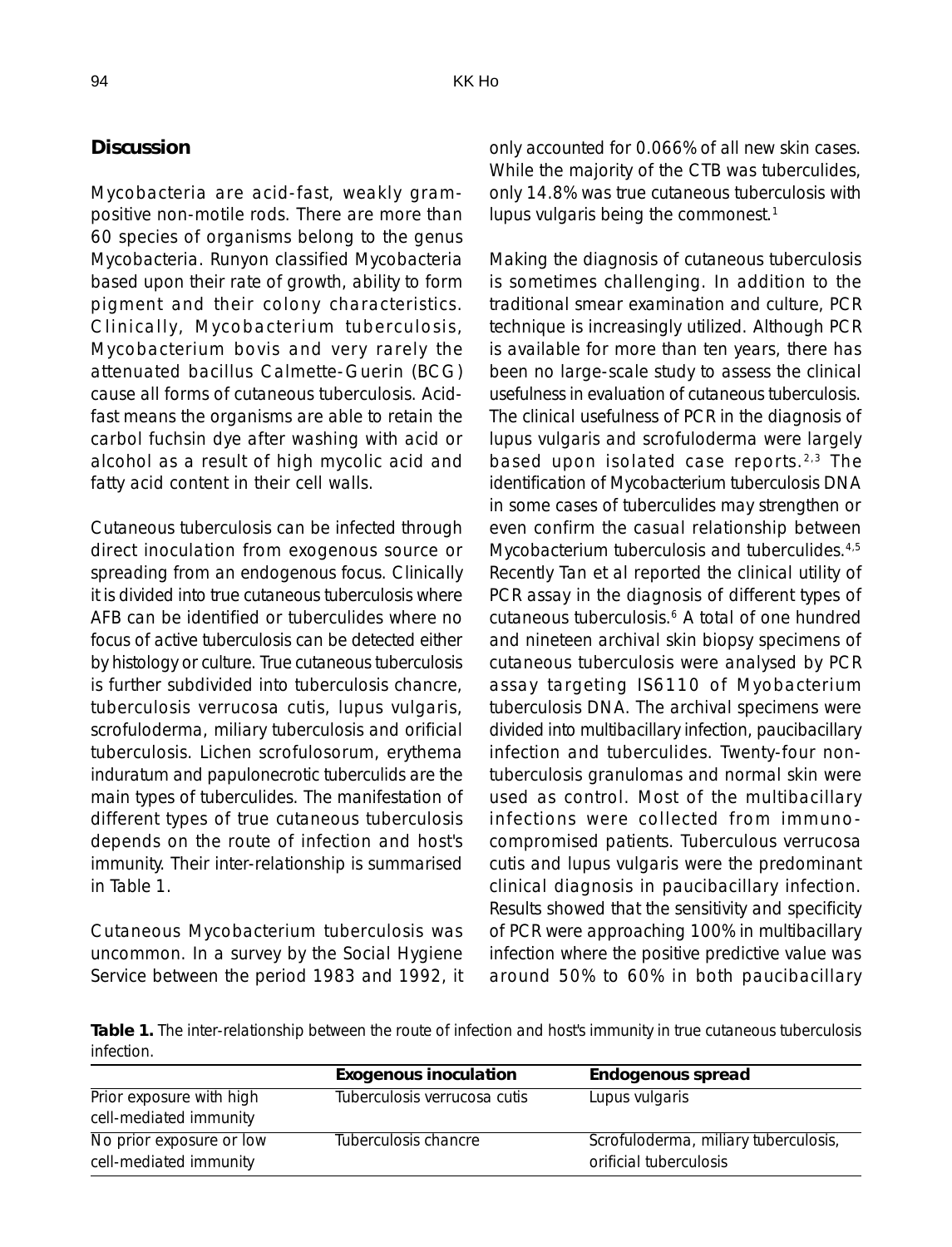## **Discussion**

Mycobacteria are acid-fast, weakly grampositive non-motile rods. There are more than 60 species of organisms belong to the genus Mycobacteria. Runyon classified Mycobacteria based upon their rate of growth, ability to form pigment and their colony characteristics. Clinically, Mycobacterium tuberculosis, Mycobacterium bovis and very rarely the attenuated bacillus Calmette-Guerin (BCG) cause all forms of cutaneous tuberculosis. Acidfast means the organisms are able to retain the carbol fuchsin dye after washing with acid or alcohol as a result of high mycolic acid and fatty acid content in their cell walls.

Cutaneous tuberculosis can be infected through direct inoculation from exogenous source or spreading from an endogenous focus. Clinically it is divided into true cutaneous tuberculosis where AFB can be identified or tuberculides where no focus of active tuberculosis can be detected either by histology or culture. True cutaneous tuberculosis is further subdivided into tuberculosis chancre, tuberculosis verrucosa cutis, lupus vulgaris, scrofuloderma, miliary tuberculosis and orificial tuberculosis. Lichen scrofulosorum, erythema induratum and papulonecrotic tuberculids are the main types of tuberculides. The manifestation of different types of true cutaneous tuberculosis depends on the route of infection and host's immunity. Their inter-relationship is summarised in Table 1.

Cutaneous Mycobacterium tuberculosis was uncommon. In a survey by the Social Hygiene Service between the period 1983 and 1992, it only accounted for 0.066% of all new skin cases. While the majority of the CTB was tuberculides, only 14.8% was true cutaneous tuberculosis with lupus vulgaris being the commonest.<sup>1</sup>

Making the diagnosis of cutaneous tuberculosis is sometimes challenging. In addition to the traditional smear examination and culture, PCR technique is increasingly utilized. Although PCR is available for more than ten years, there has been no large-scale study to assess the clinical usefulness in evaluation of cutaneous tuberculosis. The clinical usefulness of PCR in the diagnosis of lupus vulgaris and scrofuloderma were largely based upon isolated case reports. 2,3 The identification of Mycobacterium tuberculosis DNA in some cases of tuberculides may strengthen or even confirm the casual relationship between Mycobacterium tuberculosis and tuberculides.<sup>4,5</sup> Recently Tan et al reported the clinical utility of PCR assay in the diagnosis of different types of cutaneous tuberculosis.<sup>6</sup> A total of one hundred and nineteen archival skin biopsy specimens of cutaneous tuberculosis were analysed by PCR assay targeting IS6110 of Myobacterium tuberculosis DNA. The archival specimens were divided into multibacillary infection, paucibacillary infection and tuberculides. Twenty-four nontuberculosis granulomas and normal skin were used as control. Most of the multibacillary infections were collected from immunocompromised patients. Tuberculous verrucosa cutis and lupus vulgaris were the predominant clinical diagnosis in paucibacillary infection. Results showed that the sensitivity and specificity of PCR were approaching 100% in multibacillary infection where the positive predictive value was around 50% to 60% in both paucibacillary

**Table 1.** The inter-relationship between the route of infection and host's immunity in true cutaneous tuberculosis infection.

|                                                    | <b>Exogenous inoculation</b> | Endogenous spread                                              |
|----------------------------------------------------|------------------------------|----------------------------------------------------------------|
| Prior exposure with high<br>cell-mediated immunity | Tuberculosis verrucosa cutis | Lupus vulgaris                                                 |
| No prior exposure or low<br>cell-mediated immunity | Tuberculosis chancre         | Scrofuloderma, miliary tuberculosis,<br>orificial tuberculosis |